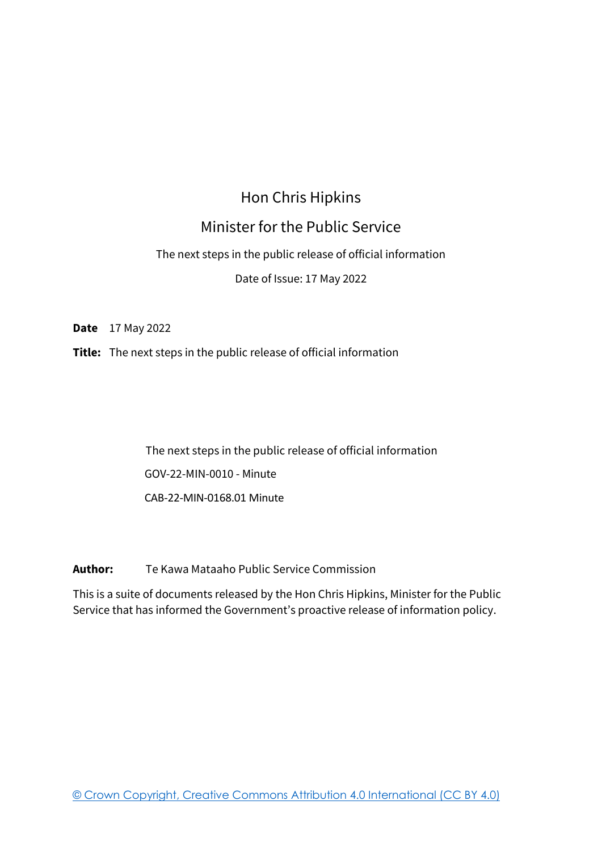## Hon Chris Hipkins

## Minister for the Public Service

#### The next steps in the public release of official information

#### Date of Issue: 17 May 2022

**Date** 17 May 2022

**Title:** The next steps in the public release of official information

The next steps in the public release of official information GOV-22-MIN-0010 - Minute CAB-22-MIN-0168.01 Minute

**Author:** Te Kawa Mataaho Public Service Commission

This is a suite of documents released by the Hon Chris Hipkins, Minister for the Public Service that has informed the Government's proactive release of information policy.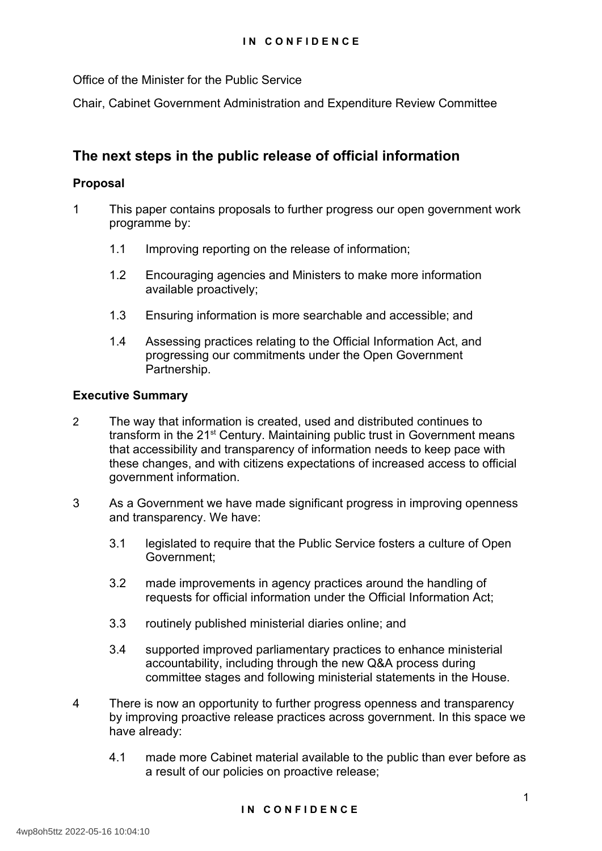Office of the Minister for the Public Service

Chair, Cabinet Government Administration and Expenditure Review Committee

## **The next steps in the public release of official information**

#### **Proposal**

- 1 This paper contains proposals to further progress our open government work programme by:
	- 1.1 Improving reporting on the release of information;
	- 1.2 Encouraging agencies and Ministers to make more information available proactively;
	- 1.3 Ensuring information is more searchable and accessible; and
	- 1.4 Assessing practices relating to the Official Information Act, and progressing our commitments under the Open Government Partnership.

#### **Executive Summary**

- 2 The way that information is created, used and distributed continues to transform in the 21<sup>st</sup> Century. Maintaining public trust in Government means that accessibility and transparency of information needs to keep pace with these changes, and with citizens expectations of increased access to official government information.
- 3 As a Government we have made significant progress in improving openness and transparency. We have:
	- 3.1 legislated to require that the Public Service fosters a culture of Open Government;
	- 3.2 made improvements in agency practices around the handling of requests for official information under the Official Information Act;
	- 3.3 routinely published ministerial diaries online; and
	- 3.4 supported improved parliamentary practices to enhance ministerial accountability, including through the new Q&A process during committee stages and following ministerial statements in the House.
- 4 There is now an opportunity to further progress openness and transparency by improving proactive release practices across government. In this space we have already:
	- 4.1 made more Cabinet material available to the public than ever before as a result of our policies on proactive release;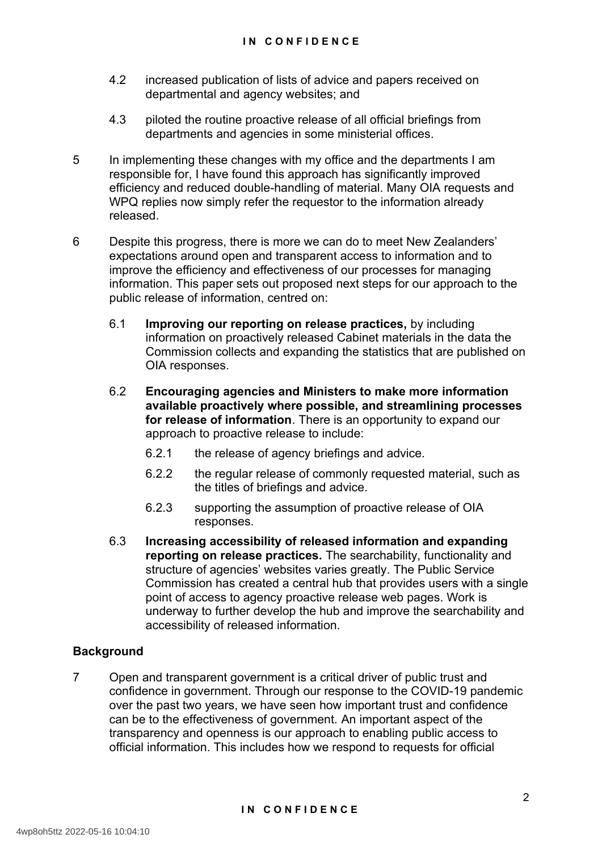- 4.2 increased publication of lists of advice and papers received on departmental and agency websites; and
- 4.3 piloted the routine proactive release of all official briefings from departments and agencies in some ministerial offices.
- 5 In implementing these changes with my office and the departments I am responsible for, I have found this approach has significantly improved efficiency and reduced double-handling of material. Many OIA requests and WPQ replies now simply refer the requestor to the information already released.
- 6 Despite this progress, there is more we can do to meet New Zealanders' expectations around open and transparent access to information and to improve the efficiency and effectiveness of our processes for managing information. This paper sets out proposed next steps for our approach to the public release of information, centred on:
	- 6.1 **Improving our reporting on release practices,** by including information on proactively released Cabinet materials in the data the Commission collects and expanding the statistics that are published on OIA responses.
	- 6.2 **Encouraging agencies and Ministers to make more information available proactively where possible, and streamlining processes for release of information**. There is an opportunity to expand our approach to proactive release to include:
		- 6.2.1 the release of agency briefings and advice.
		- 6.2.2 the regular release of commonly requested material, such as the titles of briefings and advice.
		- 6.2.3 supporting the assumption of proactive release of OIA responses.
	- 6.3 **Increasing accessibility of released information and expanding reporting on release practices.** The searchability, functionality and structure of agencies' websites varies greatly. The Public Service Commission has created a central hub that provides users with a single point of access to agency proactive release web pages. Work is underway to further develop the hub and improve the searchability and accessibility of released information.

### **Background**

7 Open and transparent government is a critical driver of public trust and confidence in government. Through our response to the COVID-19 pandemic over the past two years, we have seen how important trust and confidence can be to the effectiveness of government. An important aspect of the transparency and openness is our approach to enabling public access to official information. This includes how we respond to requests for official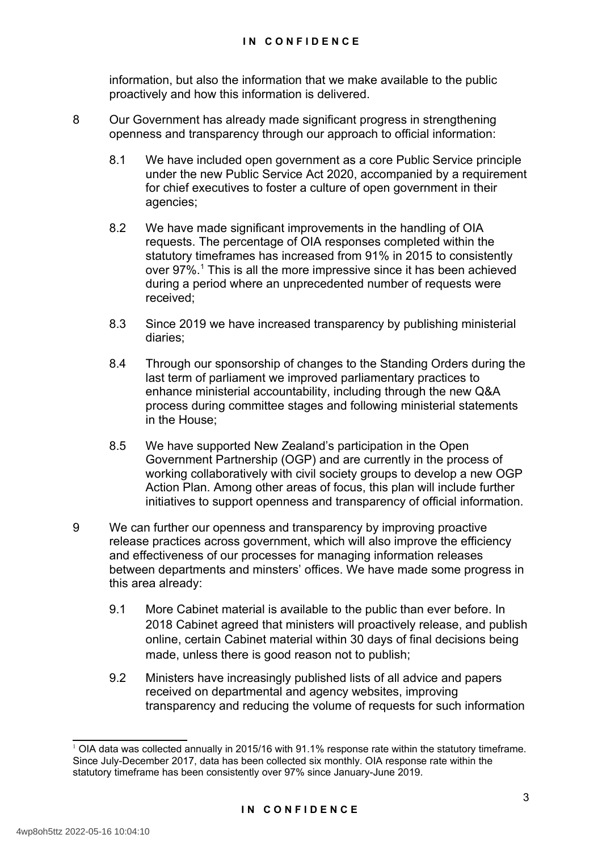information, but also the information that we make available to the public proactively and how this information is delivered.

- <span id="page-3-0"></span>8 Our Government has already made significant progress in strengthening openness and transparency through our approach to official information:
	- 8.1 We have included open government as a core Public Service principle under the new Public Service Act 2020, accompanied by a requirement for chief executives to foster a culture of open government in their agencies;
	- 8.2 We have made significant improvements in the handling of OIA requests. The percentage of OIA responses completed within the statutory timeframes has increased from 91% in 2015 to consistently over 97%.<sup>[1](#page-3-1)</sup> This is all the more impressive since it has been achieved during a period where an unprecedented number of requests were received;
	- 8.3 Since 2019 we have increased transparency by publishing ministerial diaries;
	- 8.4 Through our sponsorship of changes to the Standing Orders during the last term of parliament we improved parliamentary practices to enhance ministerial accountability, including through the new Q&A process during committee stages and following ministerial statements in the House;
	- 8.5 We have supported New Zealand's participation in the Open Government Partnership (OGP) and are currently in the process of working collaboratively with civil society groups to develop a new OGP Action Plan. Among other areas of focus, this plan will include further initiatives to support openness and transparency of official information.
- 9 We can further our openness and transparency by improving proactive release practices across government, which will also improve the efficiency and effectiveness of our processes for managing information releases between departments and minsters' offices. We have made some progress in this area already:
	- 9.1 More Cabinet material is available to the public than ever before. In 2018 Cabinet agreed that ministers will proactively release, and publish online, certain Cabinet material within 30 days of final decisions being made, unless there is good reason not to publish;
	- 9.2 Ministers have increasingly published lists of all advice and papers received on departmental and agency websites, improving transparency and reducing the volume of requests for such information

<span id="page-3-1"></span> $1$  OIA data was collected annually in 2015/16 with 91.1% response rate within the statutory timeframe. Since July-December 2017, data has been collected six monthly. OIA response rate within the statutory timeframe has been consistently over 97% since January-June 2019.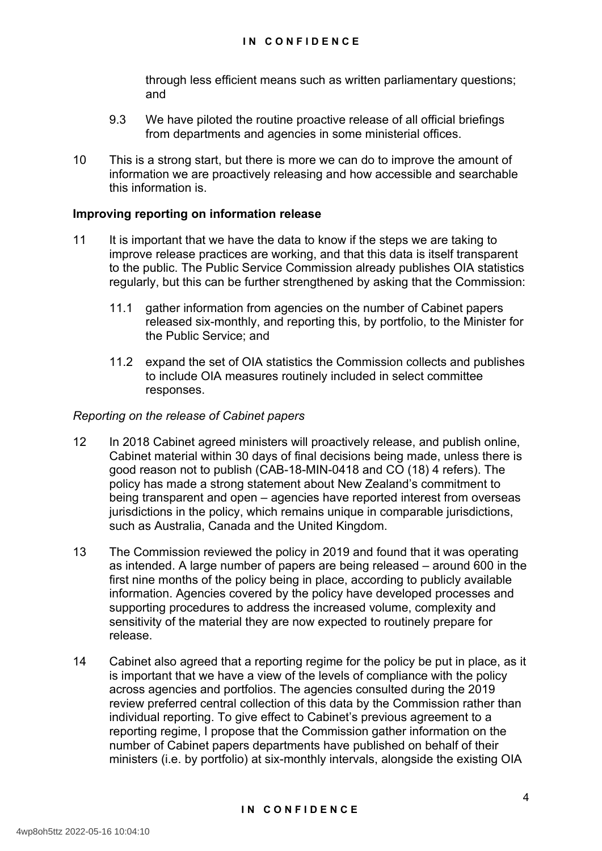through less efficient means such as written parliamentary questions; and

- 9.3 We have piloted the routine proactive release of all official briefings from departments and agencies in some ministerial offices.
- 10 This is a strong start, but there is more we can do to improve the amount of information we are proactively releasing and how accessible and searchable this information is.

#### **Improving reporting on information release**

- 11 It is important that we have the data to know if the steps we are taking to improve release practices are working, and that this data is itself transparent to the public. The Public Service Commission already publishes OIA statistics regularly, but this can be further strengthened by asking that the Commission:
	- 11.1 gather information from agencies on the number of Cabinet papers released six-monthly, and reporting this, by portfolio, to the Minister for the Public Service; and
	- 11.2 expand the set of OIA statistics the Commission collects and publishes to include OIA measures routinely included in select committee responses.

#### *Reporting on the release of Cabinet papers*

- 12 In 2018 Cabinet agreed ministers will proactively release, and publish online, Cabinet material within 30 days of final decisions being made, unless there is good reason not to publish (CAB-18-MIN-0418 and CO (18) 4 refers). The policy has made a strong statement about New Zealand's commitment to being transparent and open – agencies have reported interest from overseas jurisdictions in the policy, which remains unique in comparable jurisdictions, such as Australia, Canada and the United Kingdom.
- 13 The Commission reviewed the policy in 2019 and found that it was operating as intended. A large number of papers are being released – around 600 in the first nine months of the policy being in place, according to publicly available information. Agencies covered by the policy have developed processes and supporting procedures to address the increased volume, complexity and sensitivity of the material they are now expected to routinely prepare for release.
- 14 Cabinet also agreed that a reporting regime for the policy be put in place, as it is important that we have a view of the levels of compliance with the policy across agencies and portfolios. The agencies consulted during the 2019 review preferred central collection of this data by the Commission rather than individual reporting. To give effect to Cabinet's previous agreement to a reporting regime, I propose that the Commission gather information on the number of Cabinet papers departments have published on behalf of their ministers (i.e. by portfolio) at six-monthly intervals, alongside the existing OIA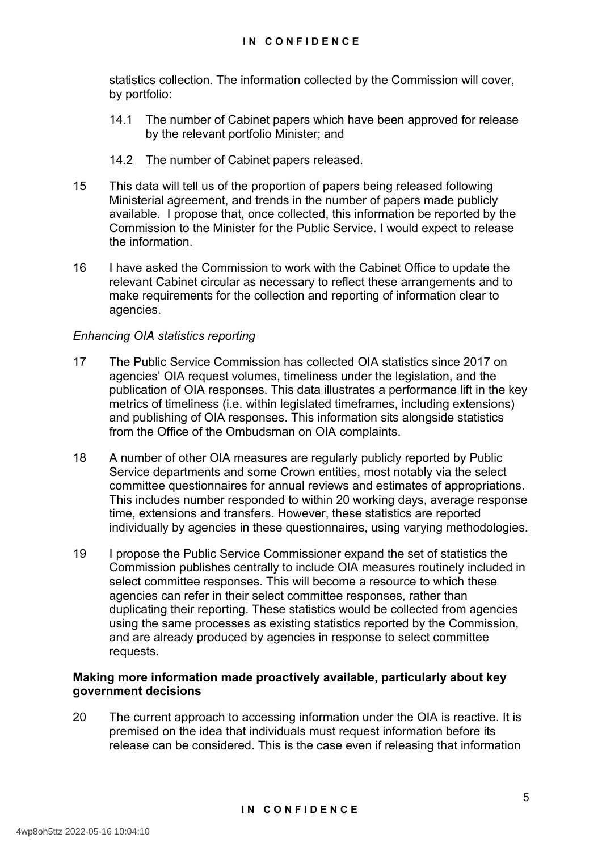statistics collection. The information collected by the Commission will cover, by portfolio:

- 14.1 The number of Cabinet papers which have been approved for release by the relevant portfolio Minister; and
- 14.2 The number of Cabinet papers released.
- 15 This data will tell us of the proportion of papers being released following Ministerial agreement, and trends in the number of papers made publicly available. I propose that, once collected, this information be reported by the Commission to the Minister for the Public Service. I would expect to release the information.
- 16 I have asked the Commission to work with the Cabinet Office to update the relevant Cabinet circular as necessary to reflect these arrangements and to make requirements for the collection and reporting of information clear to agencies.

#### *Enhancing OIA statistics reporting*

- 17 The Public Service Commission has collected OIA statistics since 2017 on agencies' OIA request volumes, timeliness under the legislation, and the publication of OIA responses. This data illustrates a performance lift in the key metrics of timeliness (i.e. within legislated timeframes, including extensions) and publishing of OIA responses. This information sits alongside statistics from the Office of the Ombudsman on OIA complaints.
- 18 A number of other OIA measures are regularly publicly reported by Public Service departments and some Crown entities, most notably via the select committee questionnaires for annual reviews and estimates of appropriations. This includes number responded to within 20 working days, average response time, extensions and transfers. However, these statistics are reported individually by agencies in these questionnaires, using varying methodologies.
- 19 I propose the Public Service Commissioner expand the set of statistics the Commission publishes centrally to include OIA measures routinely included in select committee responses. This will become a resource to which these agencies can refer in their select committee responses, rather than duplicating their reporting. These statistics would be collected from agencies using the same processes as existing statistics reported by the Commission, and are already produced by agencies in response to select committee requests.

#### **Making more information made proactively available, particularly about key government decisions**

20 The current approach to accessing information under the OIA is reactive. It is premised on the idea that individuals must request information before its release can be considered. This is the case even if releasing that information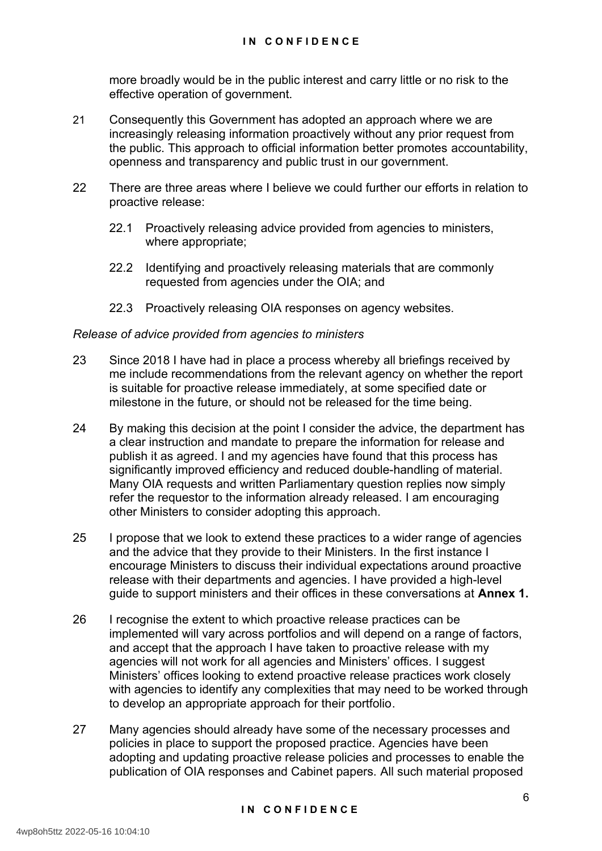more broadly would be in the public interest and carry little or no risk to the effective operation of government.

- 21 Consequently this Government has adopted an approach where we are increasingly releasing information proactively without any prior request from the public. This approach to official information better promotes accountability, openness and transparency and public trust in our government.
- 22 There are three areas where I believe we could further our efforts in relation to proactive release:
	- 22.1 Proactively releasing advice provided from agencies to ministers, where appropriate;
	- 22.2 Identifying and proactively releasing materials that are commonly requested from agencies under the OIA; and
	- 22.3 Proactively releasing OIA responses on agency websites.

#### *Release of advice provided from agencies to ministers*

- 23 Since 2018 I have had in place a process whereby all briefings received by me include recommendations from the relevant agency on whether the report is suitable for proactive release immediately, at some specified date or milestone in the future, or should not be released for the time being.
- 24 By making this decision at the point I consider the advice, the department has a clear instruction and mandate to prepare the information for release and publish it as agreed. I and my agencies have found that this process has significantly improved efficiency and reduced double-handling of material. Many OIA requests and written Parliamentary question replies now simply refer the requestor to the information already released. I am encouraging other Ministers to consider adopting this approach.
- 25 I propose that we look to extend these practices to a wider range of agencies and the advice that they provide to their Ministers. In the first instance I encourage Ministers to discuss their individual expectations around proactive release with their departments and agencies. I have provided a high-level guide to support ministers and their offices in these conversations at **Annex 1.**
- 26 I recognise the extent to which proactive release practices can be implemented will vary across portfolios and will depend on a range of factors, and accept that the approach I have taken to proactive release with my agencies will not work for all agencies and Ministers' offices. I suggest Ministers' offices looking to extend proactive release practices work closely with agencies to identify any complexities that may need to be worked through to develop an appropriate approach for their portfolio.
- 27 Many agencies should already have some of the necessary processes and policies in place to support the proposed practice. Agencies have been adopting and updating proactive release policies and processes to enable the publication of OIA responses and Cabinet papers. All such material proposed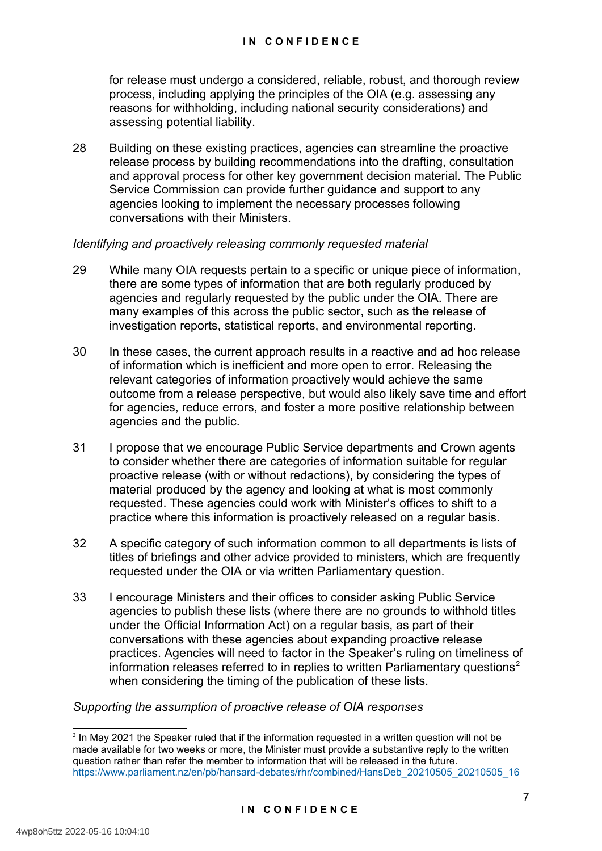for release must undergo a considered, reliable, robust, and thorough review process, including applying the principles of the OIA (e.g. assessing any reasons for withholding, including national security considerations) and assessing potential liability.

28 Building on these existing practices, agencies can streamline the proactive release process by building recommendations into the drafting, consultation and approval process for other key government decision material. The Public Service Commission can provide further guidance and support to any agencies looking to implement the necessary processes following conversations with their Ministers.

#### *Identifying and proactively releasing commonly requested material*

- 29 While many OIA requests pertain to a specific or unique piece of information, there are some types of information that are both regularly produced by agencies and regularly requested by the public under the OIA. There are many examples of this across the public sector, such as the release of investigation reports, statistical reports, and environmental reporting.
- 30 In these cases, the current approach results in a reactive and ad hoc release of information which is inefficient and more open to error. Releasing the relevant categories of information proactively would achieve the same outcome from a release perspective, but would also likely save time and effort for agencies, reduce errors, and foster a more positive relationship between agencies and the public.
- 31 I propose that we encourage Public Service departments and Crown agents to consider whether there are categories of information suitable for regular proactive release (with or without redactions), by considering the types of material produced by the agency and looking at what is most commonly requested. These agencies could work with Minister's offices to shift to a practice where this information is proactively released on a regular basis.
- 32 A specific category of such information common to all departments is lists of titles of briefings and other advice provided to ministers, which are frequently requested under the OIA or via written Parliamentary question.
- 33 I encourage Ministers and their offices to consider asking Public Service agencies to publish these lists (where there are no grounds to withhold titles under the Official Information Act) on a regular basis, as part of their conversations with these agencies about expanding proactive release practices. Agencies will need to factor in the Speaker's ruling on timeliness of information releases referred to in replies to written Parliamentary questions<sup>[2](#page-7-1)</sup> when considering the timing of the publication of these lists.

#### <span id="page-7-0"></span>*Supporting the assumption of proactive release of OIA responses*

<span id="page-7-1"></span> $2$  In May 2021 the Speaker ruled that if the information requested in a written question will not be made available for two weeks or more, the Minister must provide a substantive reply to the written question rather than refer the member to information that will be released in the future. [https://www.parliament.nz/en/pb/hansard-debates/rhr/combined/HansDeb\\_20210505\\_20210505\\_16](https://www.parliament.nz/en/pb/hansard-debates/rhr/combined/HansDeb_20210505_20210505_16)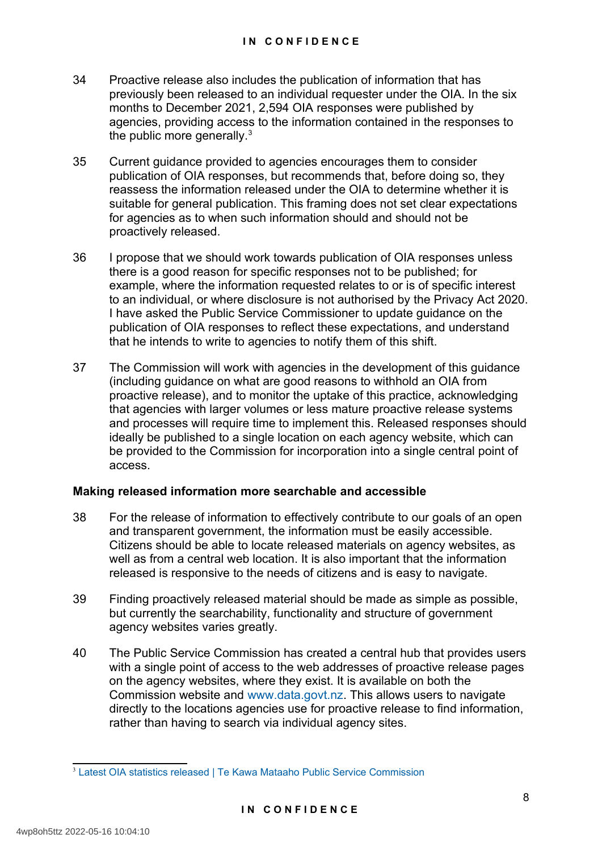- 34 Proactive release also includes the publication of information that has previously been released to an individual requester under the OIA. In the six months to December 2021, 2,594 OIA responses were published by agencies, providing access to the information contained in the responses to the public more generally.<sup>[3](#page-8-1)</sup>
- <span id="page-8-0"></span>35 Current guidance provided to agencies encourages them to consider publication of OIA responses, but recommends that, before doing so, they reassess the information released under the OIA to determine whether it is suitable for general publication. This framing does not set clear expectations for agencies as to when such information should and should not be proactively released.
- 36 I propose that we should work towards publication of OIA responses unless there is a good reason for specific responses not to be published; for example, where the information requested relates to or is of specific interest to an individual, or where disclosure is not authorised by the Privacy Act 2020. I have asked the Public Service Commissioner to update guidance on the publication of OIA responses to reflect these expectations, and understand that he intends to write to agencies to notify them of this shift.
- 37 The Commission will work with agencies in the development of this guidance (including guidance on what are good reasons to withhold an OIA from proactive release), and to monitor the uptake of this practice, acknowledging that agencies with larger volumes or less mature proactive release systems and processes will require time to implement this. Released responses should ideally be published to a single location on each agency website, which can be provided to the Commission for incorporation into a single central point of access.

#### **Making released information more searchable and accessible**

- 38 For the release of information to effectively contribute to our goals of an open and transparent government, the information must be easily accessible. Citizens should be able to locate released materials on agency websites, as well as from a central web location. It is also important that the information released is responsive to the needs of citizens and is easy to navigate.
- 39 Finding proactively released material should be made as simple as possible, but currently the searchability, functionality and structure of government agency websites varies greatly.
- 40 The Public Service Commission has created a central hub that provides users with a single point of access to the web addresses of proactive release pages on the agency websites, where they exist. It is available on both the Commission website and [www.data.govt.nz.](http://www.data.govt.nz/) This allows users to navigate directly to the locations agencies use for proactive release to find information, rather than having to search via individual agency sites.

<span id="page-8-1"></span>[<sup>3</sup>](#page-8-0) [Latest OIA statistics released | Te Kawa Mataaho Public Service Commission](https://www.publicservice.govt.nz/resources/latest-oia-statistics-released-jan-june-2021/)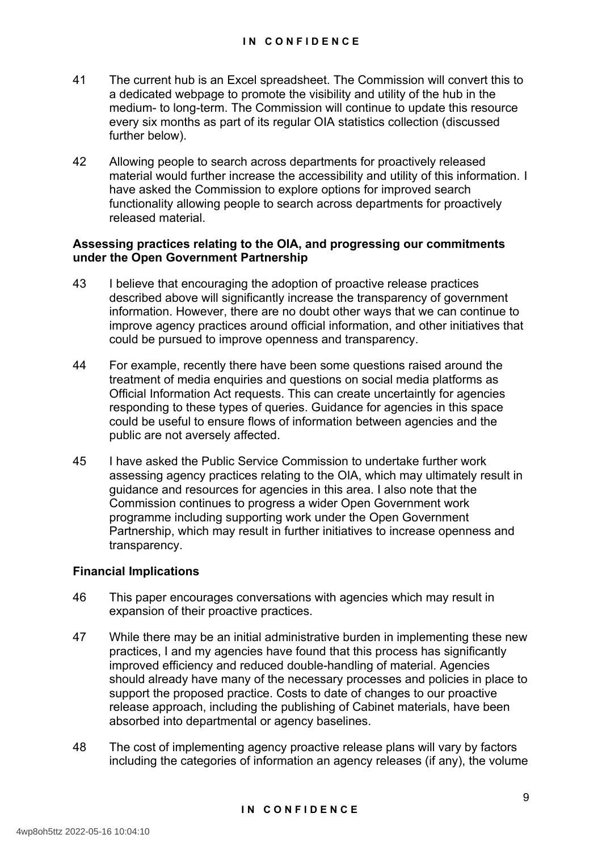- 41 The current hub is an Excel spreadsheet. The Commission will convert this to a dedicated webpage to promote the visibility and utility of the hub in the medium- to long-term. The Commission will continue to update this resource every six months as part of its regular OIA statistics collection (discussed further below).
- 42 Allowing people to search across departments for proactively released material would further increase the accessibility and utility of this information. I have asked the Commission to explore options for improved search functionality allowing people to search across departments for proactively released material.

#### **Assessing practices relating to the OIA, and progressing our commitments under the Open Government Partnership**

- 43 I believe that encouraging the adoption of proactive release practices described above will significantly increase the transparency of government information. However, there are no doubt other ways that we can continue to improve agency practices around official information, and other initiatives that could be pursued to improve openness and transparency.
- 44 For example, recently there have been some questions raised around the treatment of media enquiries and questions on social media platforms as Official Information Act requests. This can create uncertaintly for agencies responding to these types of queries. Guidance for agencies in this space could be useful to ensure flows of information between agencies and the public are not aversely affected.
- 45 I have asked the Public Service Commission to undertake further work assessing agency practices relating to the OIA, which may ultimately result in guidance and resources for agencies in this area. I also note that the Commission continues to progress a wider Open Government work programme including supporting work under the Open Government Partnership, which may result in further initiatives to increase openness and transparency.

#### **Financial Implications**

- 46 This paper encourages conversations with agencies which may result in expansion of their proactive practices.
- 47 While there may be an initial administrative burden in implementing these new practices, I and my agencies have found that this process has significantly improved efficiency and reduced double-handling of material. Agencies should already have many of the necessary processes and policies in place to support the proposed practice. Costs to date of changes to our proactive release approach, including the publishing of Cabinet materials, have been absorbed into departmental or agency baselines.
- 48 The cost of implementing agency proactive release plans will vary by factors including the categories of information an agency releases (if any), the volume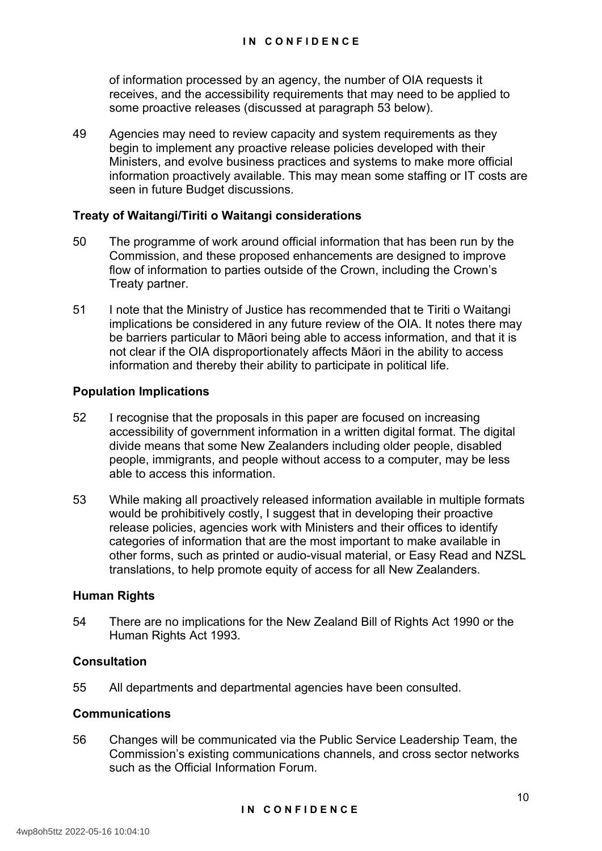of information processed by an agency, the number of OIA requests it receives, and the accessibility requirements that may need to be applied to some proactive releases (discussed at paragraph 53 below).

49 Agencies may need to review capacity and system requirements as they begin to implement any proactive release policies developed with their Ministers, and evolve business practices and systems to make more official information proactively available. This may mean some staffing or IT costs are seen in future Budget discussions.

#### **Treaty of Waitangi/Tiriti o Waitangi considerations**

- 50 The programme of work around official information that has been run by the Commission, and these proposed enhancements are designed to improve flow of information to parties outside of the Crown, including the Crown's Treaty partner.
- 51 I note that the Ministry of Justice has recommended that te Tiriti o Waitangi implications be considered in any future review of the OIA. It notes there may be barriers particular to Māori being able to access information, and that it is not clear if the OIA disproportionately affects Māori in the ability to access information and thereby their ability to participate in political life.

#### **Population Implications**

- 52 I recognise that the proposals in this paper are focused on increasing accessibility of government information in a written digital format. The digital divide means that some New Zealanders including older people, disabled people, immigrants, and people without access to a computer, may be less able to access this information.
- 53 While making all proactively released information available in multiple formats would be prohibitively costly, I suggest that in developing their proactive release policies, agencies work with Ministers and their offices to identify categories of information that are the most important to make available in other forms, such as printed or audio-visual material, or Easy Read and NZSL translations, to help promote equity of access for all New Zealanders.

#### **Human Rights**

54 There are no implications for the New Zealand Bill of Rights Act 1990 or the Human Rights Act 1993.

#### **Consultation**

55 All departments and departmental agencies have been consulted.

#### **Communications**

56 Changes will be communicated via the Public Service Leadership Team, the Commission's existing communications channels, and cross sector networks such as the Official Information Forum.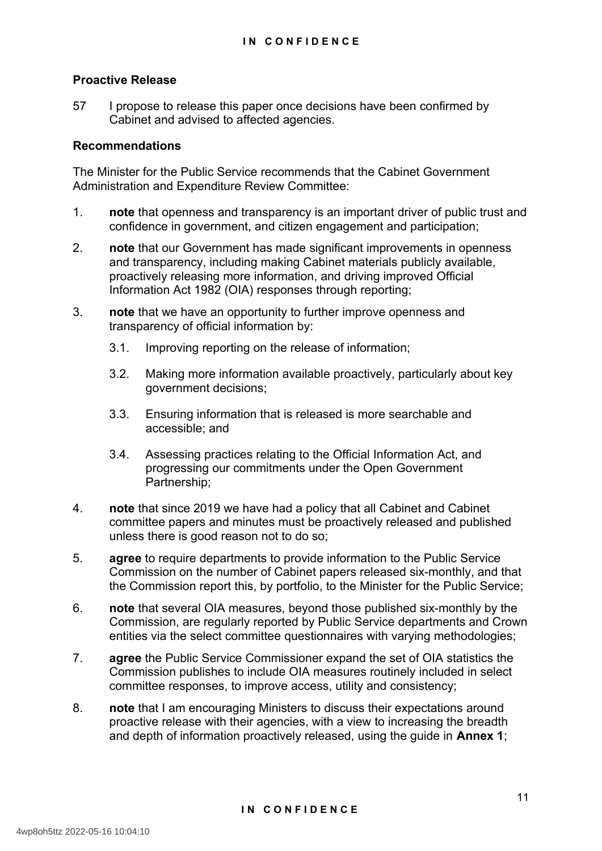#### **Proactive Release**

57 I propose to release this paper once decisions have been confirmed by Cabinet and advised to affected agencies.

#### **Recommendations**

The Minister for the Public Service recommends that the Cabinet Government Administration and Expenditure Review Committee:

- 1. **note** that openness and transparency is an important driver of public trust and confidence in government, and citizen engagement and participation;
- 2. **note** that our Government has made significant improvements in openness and transparency, including making Cabinet materials publicly available, proactively releasing more information, and driving improved Official Information Act 1982 (OIA) responses through reporting;
- 3. **note** that we have an opportunity to further improve openness and transparency of official information by:
	- 3.1. Improving reporting on the release of information;
	- 3.2. Making more information available proactively, particularly about key government decisions;
	- 3.3. Ensuring information that is released is more searchable and accessible; and
	- 3.4. Assessing practices relating to the Official Information Act, and progressing our commitments under the Open Government Partnership;
- 4. **note** that since 2019 we have had a policy that all Cabinet and Cabinet committee papers and minutes must be proactively released and published unless there is good reason not to do so;
- 5. **agree** to require departments to provide information to the Public Service Commission on the number of Cabinet papers released six-monthly, and that the Commission report this, by portfolio, to the Minister for the Public Service;
- 6. **note** that several OIA measures, beyond those published six-monthly by the Commission, are regularly reported by Public Service departments and Crown entities via the select committee questionnaires with varying methodologies;
- 7. **agree** the Public Service Commissioner expand the set of OIA statistics the Commission publishes to include OIA measures routinely included in select committee responses, to improve access, utility and consistency;
- 8. **note** that I am encouraging Ministers to discuss their expectations around proactive release with their agencies, with a view to increasing the breadth and depth of information proactively released, using the guide in **Annex 1**;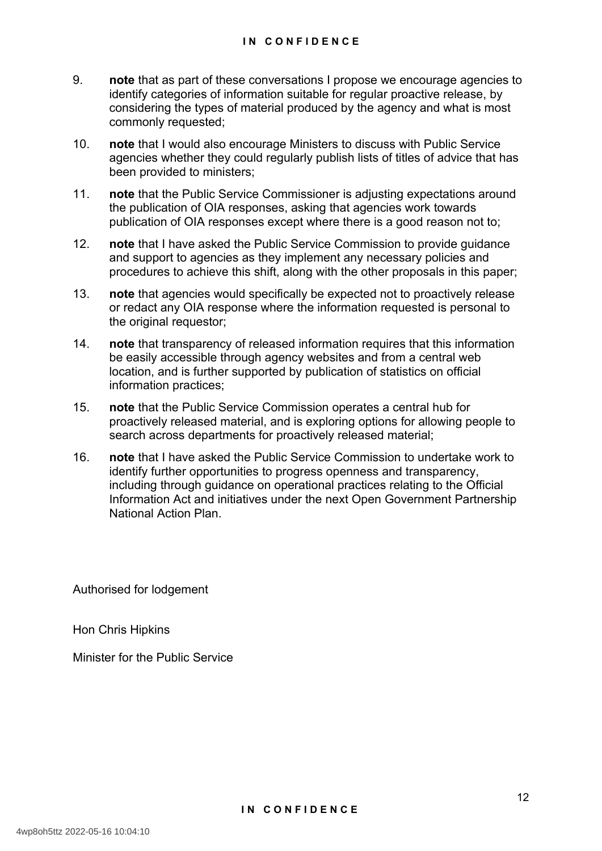- 9. **note** that as part of these conversations I propose we encourage agencies to identify categories of information suitable for regular proactive release, by considering the types of material produced by the agency and what is most commonly requested;
- 10. **note** that I would also encourage Ministers to discuss with Public Service agencies whether they could regularly publish lists of titles of advice that has been provided to ministers;
- 11. **note** that the Public Service Commissioner is adjusting expectations around the publication of OIA responses, asking that agencies work towards publication of OIA responses except where there is a good reason not to;
- 12. **note** that I have asked the Public Service Commission to provide guidance and support to agencies as they implement any necessary policies and procedures to achieve this shift, along with the other proposals in this paper;
- 13. **note** that agencies would specifically be expected not to proactively release or redact any OIA response where the information requested is personal to the original requestor;
- 14. **note** that transparency of released information requires that this information be easily accessible through agency websites and from a central web location, and is further supported by publication of statistics on official information practices;
- 15. **note** that the Public Service Commission operates a central hub for proactively released material, and is exploring options for allowing people to search across departments for proactively released material;
- 16. **note** that I have asked the Public Service Commission to undertake work to identify further opportunities to progress openness and transparency, including through guidance on operational practices relating to the Official Information Act and initiatives under the next Open Government Partnership National Action Plan.

Authorised for lodgement

Hon Chris Hipkins

Minister for the Public Service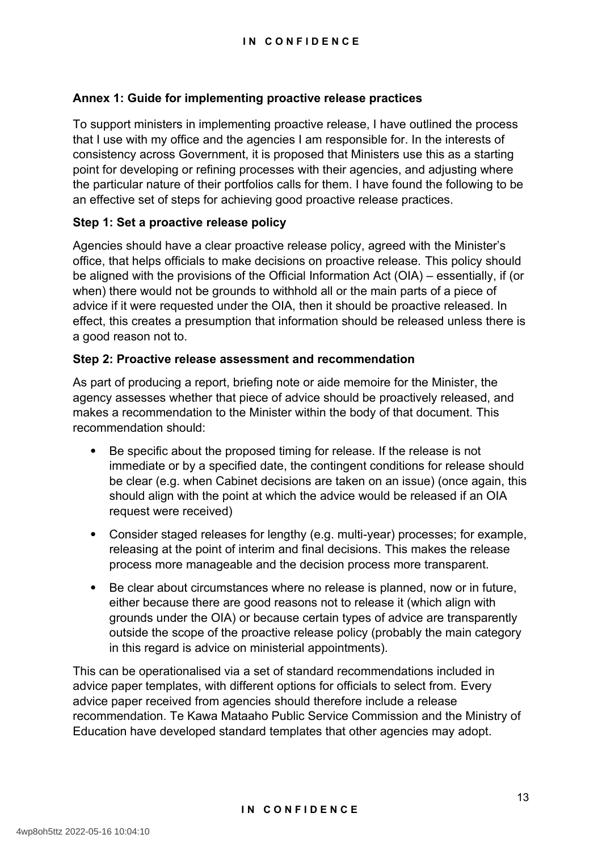#### **Annex 1: Guide for implementing proactive release practices**

To support ministers in implementing proactive release, I have outlined the process that I use with my office and the agencies I am responsible for. In the interests of consistency across Government, it is proposed that Ministers use this as a starting point for developing or refining processes with their agencies, and adjusting where the particular nature of their portfolios calls for them. I have found the following to be an effective set of steps for achieving good proactive release practices.

#### **Step 1: Set a proactive release policy**

Agencies should have a clear proactive release policy, agreed with the Minister's office, that helps officials to make decisions on proactive release. This policy should be aligned with the provisions of the Official Information Act (OIA) – essentially, if (or when) there would not be grounds to withhold all or the main parts of a piece of advice if it were requested under the OIA, then it should be proactive released. In effect, this creates a presumption that information should be released unless there is a good reason not to.

#### **Step 2: Proactive release assessment and recommendation**

As part of producing a report, briefing note or aide memoire for the Minister, the agency assesses whether that piece of advice should be proactively released, and makes a recommendation to the Minister within the body of that document. This recommendation should:

- Be specific about the proposed timing for release. If the release is not immediate or by a specified date, the contingent conditions for release should be clear (e.g. when Cabinet decisions are taken on an issue) (once again, this should align with the point at which the advice would be released if an OIA request were received)
- Consider staged releases for lengthy (e.g. multi-year) processes; for example, releasing at the point of interim and final decisions. This makes the release process more manageable and the decision process more transparent.
- Be clear about circumstances where no release is planned, now or in future, either because there are good reasons not to release it (which align with grounds under the OIA) or because certain types of advice are transparently outside the scope of the proactive release policy (probably the main category in this regard is advice on ministerial appointments).

This can be operationalised via a set of standard recommendations included in advice paper templates, with different options for officials to select from. Every advice paper received from agencies should therefore include a release recommendation. Te Kawa Mataaho Public Service Commission and the Ministry of Education have developed standard templates that other agencies may adopt.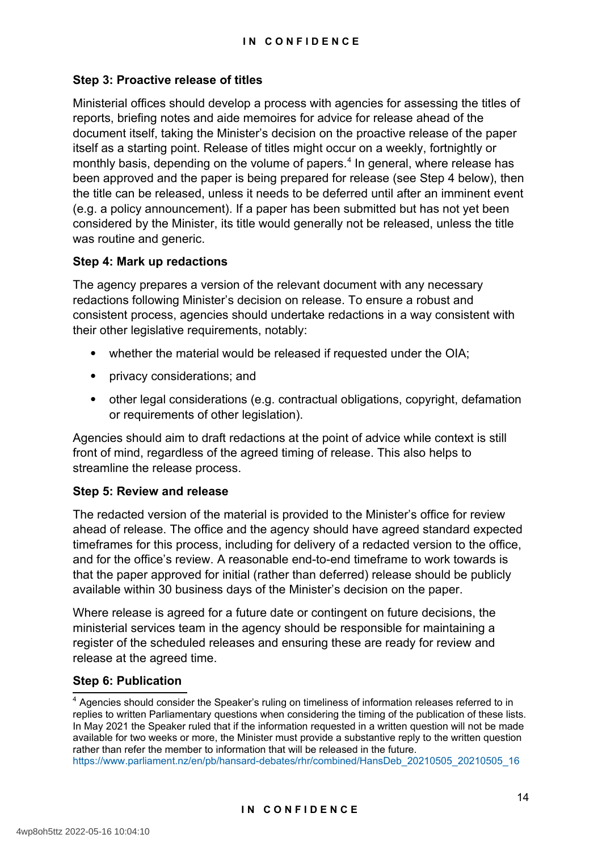#### **Step 3: Proactive release of titles**

<span id="page-14-0"></span>Ministerial offices should develop a process with agencies for assessing the titles of reports, briefing notes and aide memoires for advice for release ahead of the document itself, taking the Minister's decision on the proactive release of the paper itself as a starting point. Release of titles might occur on a weekly, fortnightly or monthly basis, depending on the volume of papers,<sup>[4](#page-14-1)</sup> In general, where release has been approved and the paper is being prepared for release (see Step 4 below), then the title can be released, unless it needs to be deferred until after an imminent event (e.g. a policy announcement). If a paper has been submitted but has not yet been considered by the Minister, its title would generally not be released, unless the title was routine and generic.

#### **Step 4: Mark up redactions**

The agency prepares a version of the relevant document with any necessary redactions following Minister's decision on release. To ensure a robust and consistent process, agencies should undertake redactions in a way consistent with their other legislative requirements, notably:

- whether the material would be released if requested under the OIA;
- privacy considerations; and
- other legal considerations (e.g. contractual obligations, copyright, defamation or requirements of other legislation).

Agencies should aim to draft redactions at the point of advice while context is still front of mind, regardless of the agreed timing of release. This also helps to streamline the release process.

#### **Step 5: Review and release**

The redacted version of the material is provided to the Minister's office for review ahead of release. The office and the agency should have agreed standard expected timeframes for this process, including for delivery of a redacted version to the office, and for the office's review. A reasonable end-to-end timeframe to work towards is that the paper approved for initial (rather than deferred) release should be publicly available within 30 business days of the Minister's decision on the paper.

Where release is agreed for a future date or contingent on future decisions, the ministerial services team in the agency should be responsible for maintaining a register of the scheduled releases and ensuring these are ready for review and release at the agreed time.

#### **Step 6: Publication**

<span id="page-14-1"></span>[<sup>4</sup>](#page-14-0) Agencies should consider the Speaker's ruling on timeliness of information releases referred to in replies to written Parliamentary questions when considering the timing of the publication of these lists. In May 2021 the Speaker ruled that if the information requested in a written question will not be made available for two weeks or more, the Minister must provide a substantive reply to the written question rather than refer the member to information that will be released in the future. [https://www.parliament.nz/en/pb/hansard-debates/rhr/combined/HansDeb\\_20210505\\_20210505\\_16](https://www.parliament.nz/en/pb/hansard-debates/rhr/combined/HansDeb_20210505_20210505_16)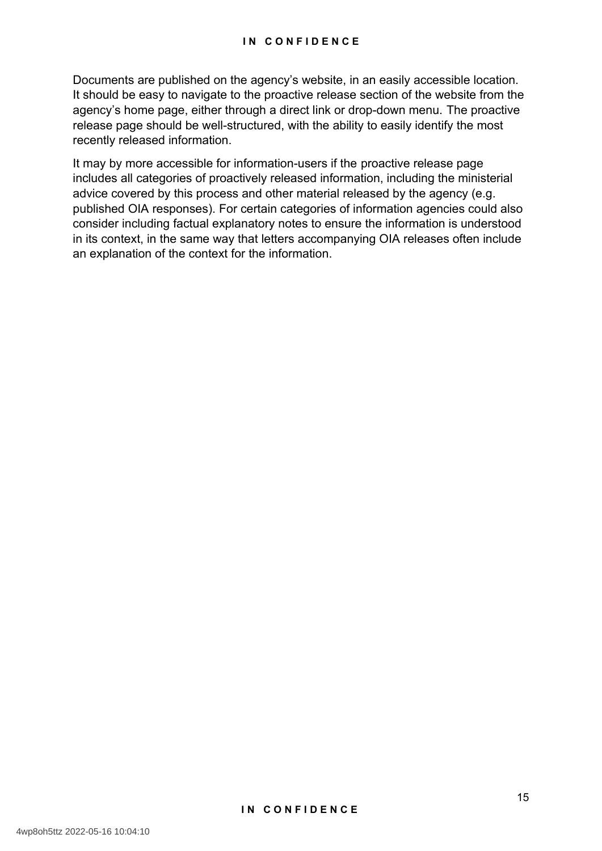Documents are published on the agency's website, in an easily accessible location. It should be easy to navigate to the proactive release section of the website from the agency's home page, either through a direct link or drop-down menu. The proactive release page should be well-structured, with the ability to easily identify the most recently released information.

It may by more accessible for information-users if the proactive release page includes all categories of proactively released information, including the ministerial advice covered by this process and other material released by the agency (e.g. published OIA responses). For certain categories of information agencies could also consider including factual explanatory notes to ensure the information is understood in its context, in the same way that letters accompanying OIA releases often include an explanation of the context for the information.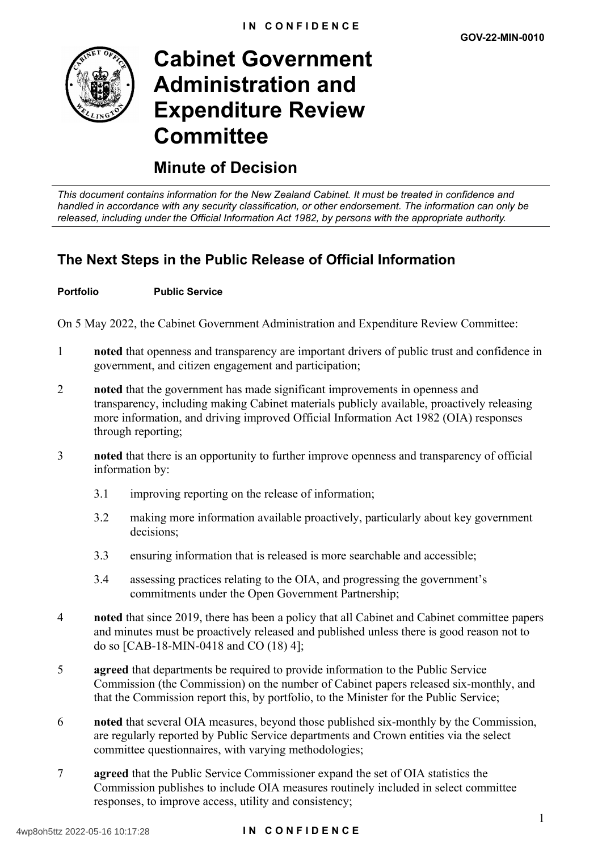

# **Cabinet Government Administration and Expenditure Review Committee**

## **Minute of Decision**

*This document contains information for the New Zealand Cabinet. It must be treated in confidence and handled in accordance with any security classification, or other endorsement. The information can only be released, including under the Official Information Act 1982, by persons with the appropriate authority.*

## **The Next Steps in the Public Release of Official Information**

#### **Portfolio Public Service**

On 5 May 2022, the Cabinet Government Administration and Expenditure Review Committee:

- 1 **noted** that openness and transparency are important drivers of public trust and confidence in government, and citizen engagement and participation;
- 2 **noted** that the government has made significant improvements in openness and transparency, including making Cabinet materials publicly available, proactively releasing more information, and driving improved Official Information Act 1982 (OIA) responses through reporting;
- 3 **noted** that there is an opportunity to further improve openness and transparency of official information by:
	- 3.1 improving reporting on the release of information;
	- 3.2 making more information available proactively, particularly about key government decisions;
	- 3.3 ensuring information that is released is more searchable and accessible;
	- 3.4 assessing practices relating to the OIA, and progressing the government's commitments under the Open Government Partnership;
- 4 **noted** that since 2019, there has been a policy that all Cabinet and Cabinet committee papers and minutes must be proactively released and published unless there is good reason not to do so [CAB-18-MIN-0418 and CO (18) 4];
- 5 **agreed** that departments be required to provide information to the Public Service Commission (the Commission) on the number of Cabinet papers released six-monthly, and that the Commission report this, by portfolio, to the Minister for the Public Service;
- 6 **noted** that several OIA measures, beyond those published six-monthly by the Commission, are regularly reported by Public Service departments and Crown entities via the select committee questionnaires, with varying methodologies;
- 7 **agreed** that the Public Service Commissioner expand the set of OIA statistics the Commission publishes to include OIA measures routinely included in select committee responses, to improve access, utility and consistency;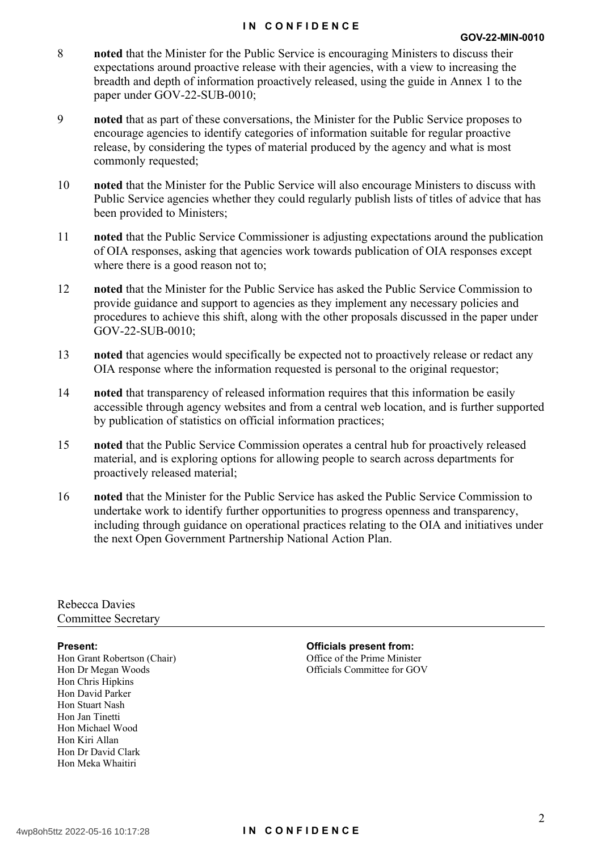#### **IN CONFIDENCE**

- 8 **noted** that the Minister for the Public Service is encouraging Ministers to discuss their expectations around proactive release with their agencies, with a view to increasing the breadth and depth of information proactively released, using the guide in Annex 1 to the paper under GOV-22-SUB-0010;
- 9 **noted** that as part of these conversations, the Minister for the Public Service proposes to encourage agencies to identify categories of information suitable for regular proactive release, by considering the types of material produced by the agency and what is most commonly requested;
- 10 **noted** that the Minister for the Public Service will also encourage Ministers to discuss with Public Service agencies whether they could regularly publish lists of titles of advice that has been provided to Ministers;
- 11 **noted** that the Public Service Commissioner is adjusting expectations around the publication of OIA responses, asking that agencies work towards publication of OIA responses except where there is a good reason not to;
- 12 **noted** that the Minister for the Public Service has asked the Public Service Commission to provide guidance and support to agencies as they implement any necessary policies and procedures to achieve this shift, along with the other proposals discussed in the paper under GOV-22-SUB-0010;
- 13 **noted** that agencies would specifically be expected not to proactively release or redact any OIA response where the information requested is personal to the original requestor;
- 14 **noted** that transparency of released information requires that this information be easily accessible through agency websites and from a central web location, and is further supported by publication of statistics on official information practices;
- 15 **noted** that the Public Service Commission operates a central hub for proactively released material, and is exploring options for allowing people to search across departments for proactively released material;
- 16 **noted** that the Minister for the Public Service has asked the Public Service Commission to undertake work to identify further opportunities to progress openness and transparency, including through guidance on operational practices relating to the OIA and initiatives under the next Open Government Partnership National Action Plan.

Rebecca Davies Committee Secretary

Hon Grant Robertson (Chair) Hon Dr Megan Woods Hon Chris Hipkins Hon David Parker Hon Stuart Nash Hon Jan Tinetti Hon Michael Wood Hon Kiri Allan Hon Dr David Clark Hon Meka Whaitiri

**Present: Officials present from:** Office of the Prime Minister Officials Committee for GOV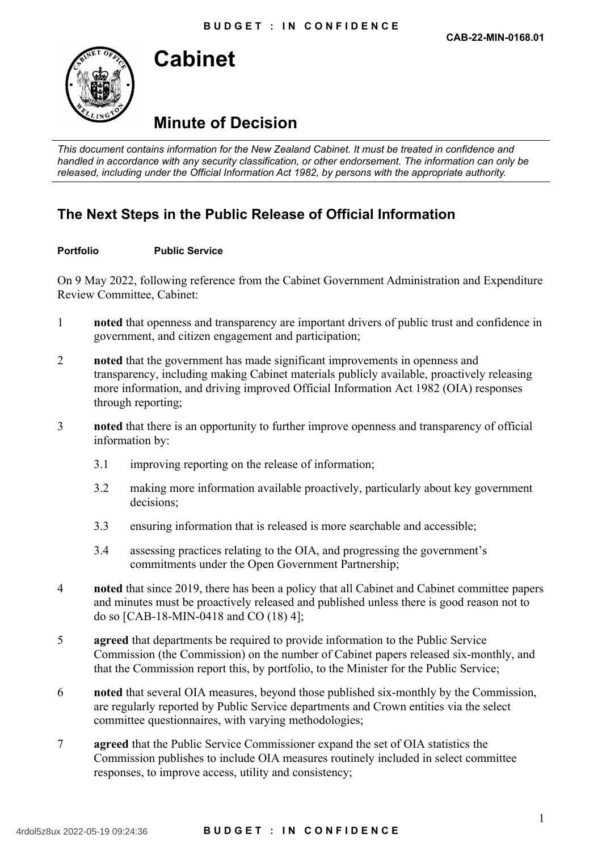

# **Cabinet**

# **Minute of Decision**

*This document contains information for the New Zealand Cabinet. It must be treated in confidence and handled in accordance with any security classification, or other endorsement. The information can only be released, including under the Official Information Act 1982, by persons with the appropriate authority.*

## **The Next Steps in the Public Release of Official Information**

#### **Portfolio Public Service**

On 9 May 2022, following reference from the Cabinet Government Administration and Expenditure Review Committee, Cabinet:

- 1 **noted** that openness and transparency are important drivers of public trust and confidence in government, and citizen engagement and participation;
- 2 **noted** that the government has made significant improvements in openness and transparency, including making Cabinet materials publicly available, proactively releasing more information, and driving improved Official Information Act 1982 (OIA) responses through reporting;
- 3 **noted** that there is an opportunity to further improve openness and transparency of official information by:
	- 3.1 improving reporting on the release of information;
	- 3.2 making more information available proactively, particularly about key government decisions;
	- 3.3 ensuring information that is released is more searchable and accessible;
	- 3.4 assessing practices relating to the OIA, and progressing the government's commitments under the Open Government Partnership;
- 4 **noted** that since 2019, there has been a policy that all Cabinet and Cabinet committee papers and minutes must be proactively released and published unless there is good reason not to do so [CAB-18-MIN-0418 and CO (18) 4];
- 5 **agreed** that departments be required to provide information to the Public Service Commission (the Commission) on the number of Cabinet papers released six-monthly, and that the Commission report this, by portfolio, to the Minister for the Public Service;
- 6 **noted** that several OIA measures, beyond those published six-monthly by the Commission, are regularly reported by Public Service departments and Crown entities via the select committee questionnaires, with varying methodologies;
- 7 **agreed** that the Public Service Commissioner expand the set of OIA statistics the Commission publishes to include OIA measures routinely included in select committee responses, to improve access, utility and consistency;